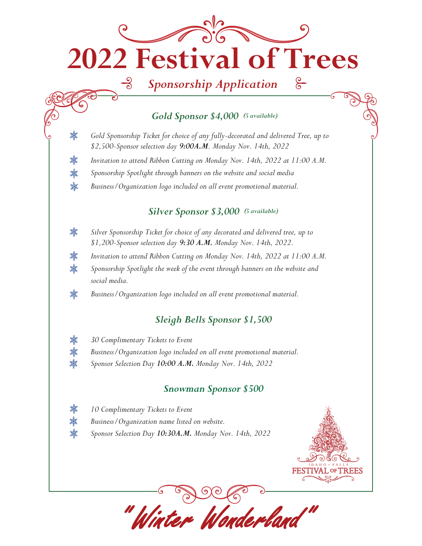# **2022 Festival of Trees**

## *Sponsorship Application*

#### *Gold Sponsor \$4,000 (5 available)*

*Gold Sponsorship Ticket for choice of any fully-decorated and delivered Tree, up to \$2,500-Sponsor selection day 9:00A.M. Monday Nov. 14th, 2022*

*Invitation to attend Ribbon Cutting on Monday Nov. 14th, 2022 at 11:00 A.M.*

*Sponsorship Spotlight through banners on the website and social media*

*Business/Organization logo included on all event promotional material.*

#### *Silver Sponsor \$3,000 (5 available)*

- 排 *Silver Sponsorship Ticket for choice of any decorated and delivered tree, up to \$1,200-Sponsor selection day 9:30 A.M. Monday Nov. 14th, 2022.*
- 排 *Invitation to attend Ribbon Cutting on Monday Nov. 14th, 2022 at 11:00 A.M.*
- 排 *Sponsorship Spotlight the week of the event through banners on the website and social media.*

排 *Business/Organization logo included on all event promotional material.*

### *Sleigh Bells Sponsor \$1,500*

*30 Complimentary Tickets to Event*

龖

排 排 薰

纝 纝 龖

- *Business/Organization logo included on all event promotional material.*
- *Sponsor Selection Day 10:00 A.M. Monday Nov. 14th, 2022*

#### *Snowman Sponsor \$500*

" Winter Wonderland"

- 纝 *10 Complimentary Tickets to Event*
- 龖 *Business/Organization name listed on website.*
- 排 *Sponsor Selection Day 10:30A.M. Monday Nov. 14th, 2022*